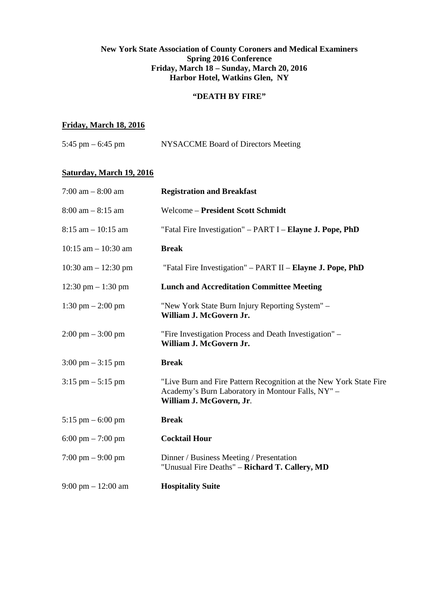## **New York State Association of County Coroners and Medical Examiners Spring 2016 Conference Friday, March 18 – Sunday, March 20, 2016 Harbor Hotel, Watkins Glen, NY**

## **"DEATH BY FIRE"**

# **Friday, March 18, 2016**

| 5:45 pm – 6:45 pm | NYSACCME Board of Directors Meeting |  |  |
|-------------------|-------------------------------------|--|--|
|                   |                                     |  |  |

# **Saturday, March 19, 2016**

| $7:00 \text{ am} - 8:00 \text{ am}$  | <b>Registration and Breakfast</b>                                                                                                                   |
|--------------------------------------|-----------------------------------------------------------------------------------------------------------------------------------------------------|
| $8:00 \text{ am} - 8:15 \text{ am}$  | <b>Welcome - President Scott Schmidt</b>                                                                                                            |
| $8:15$ am $-10:15$ am                | "Fatal Fire Investigation" - PART I - Elayne J. Pope, PhD                                                                                           |
| $10:15$ am $- 10:30$ am              | <b>Break</b>                                                                                                                                        |
| $10:30$ am $- 12:30$ pm              | "Fatal Fire Investigation" – PART II – Elayne J. Pope, PhD                                                                                          |
| $12:30 \text{ pm} - 1:30 \text{ pm}$ | <b>Lunch and Accreditation Committee Meeting</b>                                                                                                    |
| $1:30 \text{ pm} - 2:00 \text{ pm}$  | "New York State Burn Injury Reporting System" -<br>William J. McGovern Jr.                                                                          |
| $2:00 \text{ pm} - 3:00 \text{ pm}$  | "Fire Investigation Process and Death Investigation" –<br>William J. McGovern Jr.                                                                   |
| $3:00 \text{ pm} - 3:15 \text{ pm}$  | <b>Break</b>                                                                                                                                        |
| $3:15 \text{ pm} - 5:15 \text{ pm}$  | "Live Burn and Fire Pattern Recognition at the New York State Fire<br>Academy's Burn Laboratory in Montour Falls, NY" -<br>William J. McGovern, Jr. |
| $5:15 \text{ pm} - 6:00 \text{ pm}$  | <b>Break</b>                                                                                                                                        |
| $6:00 \text{ pm} - 7:00 \text{ pm}$  | <b>Cocktail Hour</b>                                                                                                                                |
| $7:00 \text{ pm} - 9:00 \text{ pm}$  | Dinner / Business Meeting / Presentation<br>"Unusual Fire Deaths" – Richard T. Callery, MD                                                          |
| $9:00 \text{ pm} - 12:00 \text{ am}$ | <b>Hospitality Suite</b>                                                                                                                            |